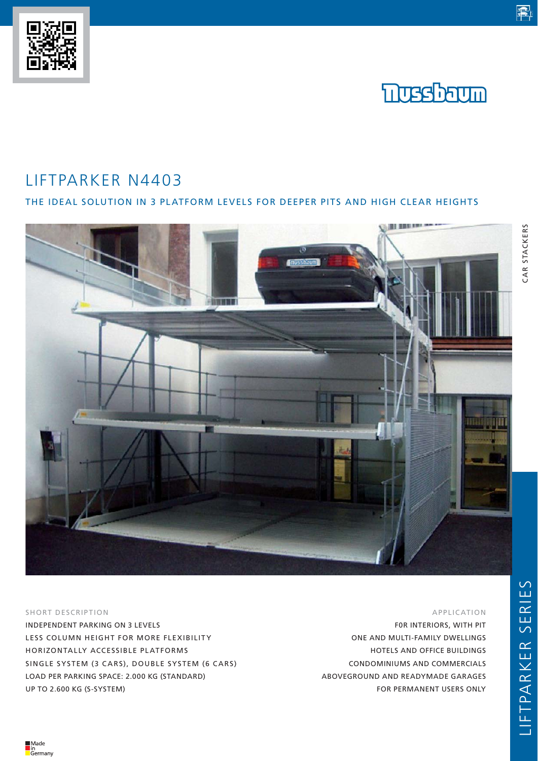## LIFTPARKER N4403

### THE IDEAL SOLUTION IN 3 PLATFORM LEVELS FOR DEEPER PITS AND HIGH CLEAR HEIGHTS



#### SHORT DESCRIPTION

INDEPENDENT PARKING ON 3 LEVELS LESS COLUMN HEIGHT FOR MORE FLEXIBILITY HORIZONTALLY ACCESSIBLE PLATFORMS SINGLE SYSTEM (3 CARS), DOUBLE SYSTEM (6 CARS) LOAD PER PARKING SPACE: 2.000 KG (STANDARD) UP TO 2.600 KG (S-SYSTEM)

#### APPLICATION

F0R INTERIORS, WITH PIT ONE AND MULTI-FAMILY DWELLINGS HOTELS AND OFFICE BUILDINGS CONDOMINIUMS AND COMMERCIALS ABOVEGROUND AND READYMADE GARAGES FOR PERMANENT USERS ONLY

# CAR STACKERS CAR STACKERS

電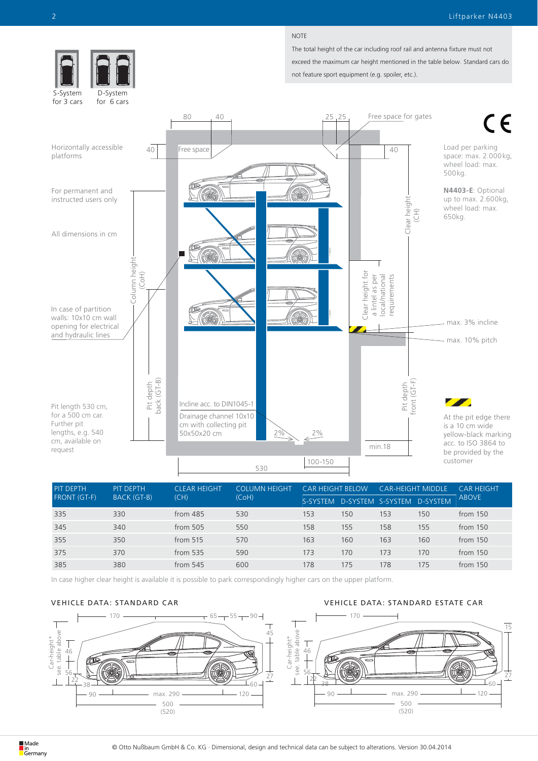#### NOTE

The total height of the car including roof rail and antenna fixture must not exceed the maximum car height mentioned in the table below. Standard cars do



| <b>PIT DEPTH</b><br><b>FRONT (GT-F)</b> | PIT DEPTH<br><b>BACK (GT-B)</b> | <b>CLEAR HEIGHT</b><br>(CH) | <b>COLUMN HEIGHT</b><br>(CoH) | <b>CAR HEIGHT BELOW</b> |                                     | <b>CAR-HEIGHT MIDDLE</b> |     | CAR HFIGHT   |
|-----------------------------------------|---------------------------------|-----------------------------|-------------------------------|-------------------------|-------------------------------------|--------------------------|-----|--------------|
|                                         |                                 |                             |                               |                         | S-SYSTEM D-SYSTEM S-SYSTEM D-SYSTEM |                          |     | <b>ABOVE</b> |
| 335                                     | 330                             | from $485$                  | 530                           | 153                     | 150                                 | 153                      | 150 | from $150$   |
| 345                                     | 340                             | from 505                    | 550                           | 158                     | 155                                 | 158                      | 155 | from $150$   |
| 355                                     | 350                             | from $515$                  | 570                           | 163                     | 160                                 | 163                      | 160 | from $150$   |
| 375                                     | 370                             | from $535$                  | 590                           | 173                     | 170                                 | 173                      | 170 | from 150     |
| 385                                     | 380                             | from $545$                  | 600                           | 178                     | 175                                 | 178                      | 175 | from 150     |

In case higher clear height is available it is possible to park correspondingly higher cars on the upper platform.

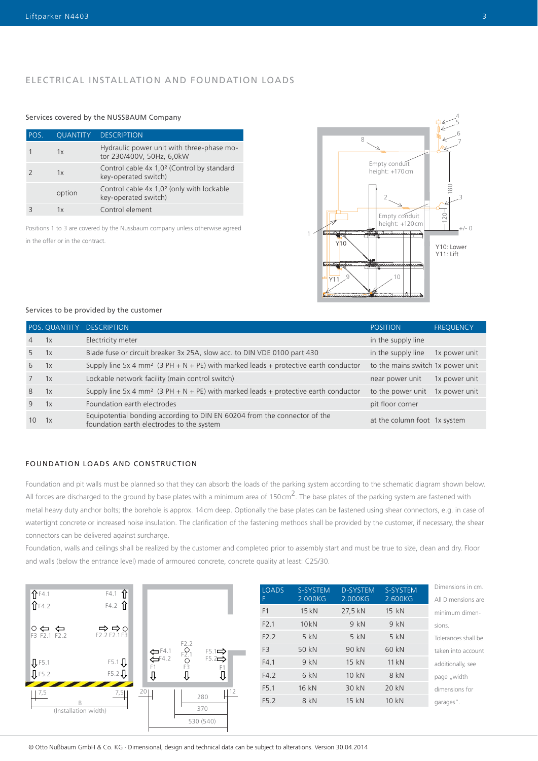#### ELECTRICAL INSTALLATION AND FOUNDATION LOADS

#### Services covered by the NUSSBAUM Company

| POS. | QUANTITY | <b>DESCRIPTION</b>                                                             |
|------|----------|--------------------------------------------------------------------------------|
|      | 1x       | Hydraulic power unit with three-phase mo-<br>tor 230/400V, 50Hz, 6,0kW         |
|      | 1x       | Control cable 4x 1,0 <sup>2</sup> (Control by standard<br>key-operated switch) |
|      | option   | Control cable 4x 1,0 <sup>2</sup> (only with lockable<br>key-operated switch)  |
|      | 1x       | Control element                                                                |

Positions 1 to 3 are covered by the Nussbaum company unless otherwise agreed

in the offer or in the contract.



#### Services to be provided by the customer

|                |    | POS. QUANTITY DESCRIPTION                                                                                              | <b>POSITION</b>                   | <b>FREQUENCY</b> |
|----------------|----|------------------------------------------------------------------------------------------------------------------------|-----------------------------------|------------------|
| $\overline{4}$ | 1x | Electricity meter                                                                                                      | in the supply line                |                  |
| 5              | 1x | Blade fuse or circuit breaker 3x 25A, slow acc. to DIN VDE 0100 part 430                                               | in the supply line                | 1x power unit    |
| 6              | 1x | Supply line 5x 4 mm <sup>2</sup> (3 PH + N + PE) with marked leads + protective earth conductor                        | to the mains switch 1x power unit |                  |
|                | 1x | Lockable network facility (main control switch)                                                                        | near power unit                   | 1x power unit    |
| 8              | 1x | Supply line 5x 4 mm <sup>2</sup> (3 PH + N + PE) with marked leads + protective earth conductor                        | to the power unit                 | 1x power unit    |
| 9              | 1x | Foundation earth electrodes                                                                                            | pit floor corner                  |                  |
| 10             | 1x | Equipotential bonding according to DIN EN 60204 from the connector of the<br>foundation earth electrodes to the system | at the column foot 1x system      |                  |

#### FOUNDATION LOADS AND CONSTRUCTION

Foundation and pit walls must be planned so that they can absorb the loads of the parking system according to the schematic diagram shown below. All forces are discharged to the ground by base plates with a minimum area of 150cm<sup>2</sup>. The base plates of the parking system are fastened with metal heavy duty anchor bolts; the borehole is approx. 14cm deep. Optionally the base plates can be fastened using shear connectors, e.g. in case of watertight concrete or increased noise insulation. The clarification of the fastening methods shall be provided by the customer, if necessary, the shear connectors can be delivered against surcharge.

Foundation, walls and ceilings shall be realized by the customer and completed prior to assembly start and must be true to size, clean and dry. Floor and walls (below the entrance level) made of armoured concrete, concrete quality at least: C25/30.



| <b>LOADS</b><br>F | <b>S-SYSTEM</b><br>2.000KG | <b>D-SYSTEM</b><br>2.000KG | S-SYSTEM<br>2.600KG | Dimensions in cm.<br>All Dimensions are |
|-------------------|----------------------------|----------------------------|---------------------|-----------------------------------------|
|                   |                            |                            |                     |                                         |
| F1                | 15kN                       | 27,5 kN                    | 15 kN               | minimum dimen-                          |
| F2.1              | 10kN                       | 9kN                        | 9 kN                | sions.                                  |
| F2.2              | 5kN                        | 5kN                        | $5$ kN              | Tolerances shall be                     |
| F <sub>3</sub>    | 50 kN                      | 90 kN                      | 60 kN               | taken into account                      |
| F4.1              | 9kN                        | 15 kN                      | 11kN                | additionally, see                       |
| F4.2              | 6 kN                       | 10kN                       | 8 kN                | page "width                             |
| F <sub>5.1</sub>  | 16 kN                      | 30 kN                      | 20 kN               | dimensions for                          |
| F5.2              | 8 kN                       | 15 kN                      | $10 \text{ kN}$     | garages".                               |
|                   |                            |                            |                     |                                         |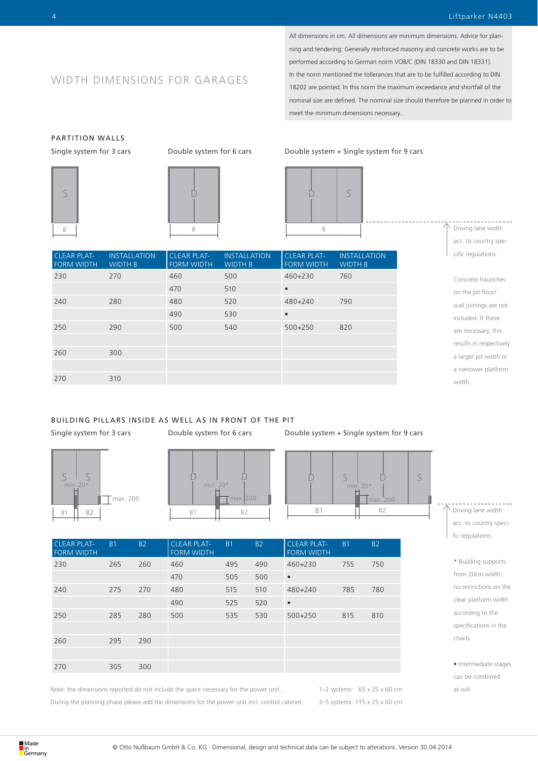### WIDTH DIMENSIONS FOR GARAGES

**INSTALLATION** WIDTH B

All dimensions in cm. All dimensions are minimum dimensions. Advice for planning and tendering: Generally reinforced masonry and concrete works are to be performed according to German norm VOB/C (DIN 18330 and DIN 18331). In the norm mentioned the tollerances that are to be fulfilled according to DIN 18202 are pointed. In this norm the maximum exceedance and shortfall of the nominal size are defined. The nominal size should therefore be planned in order to meet the minimum dimensions necessary..

## PARTITION WALLS



CLEAR PLAT-FORM WIDTH  $\overline{D}$ 

CLEAR PLAT-FORM WIDTH

230 270 460 500 460+230 760

240 280 480 520 480+240 790

250 290 500 540 500+250 820

**INSTALLATION** WIDTH B

470 510 •

490 530 •

FORM WIDTH

Single system for 3 cars Double system for 6 cars Double system + Single system for 9 cars



WIDTH B

Driving lane width acc. to country specific regulations.

Concrete haunches on the pit floor/ wall joinings are not included. If these are necessary, this results in respectively a larger pit width or a narrower platform width.

#### BUILDING PILLARS INSIDE AS WELL AS IN FRONT OF THE PIT

260 300

270 310









| <b>FORM WIDTH</b>         |                                              |
|---------------------------|----------------------------------------------|
| 750<br>460+230<br>755     |                                              |
|                           |                                              |
| 480+240<br>785<br>780     |                                              |
|                           |                                              |
| $500 + 250$<br>815<br>810 |                                              |
|                           |                                              |
|                           |                                              |
|                           |                                              |
|                           |                                              |
|                           | <b>B2</b><br><b>CLEAR PLAT-</b><br><b>B1</b> |

Note: the dimensions reported do not include the space necessary for the power unit. During the planning phase please add the dimensions for the power unit incl. control cabinet. 1–2 systems: 65 x 25 x 60 cm 3–5 systems: 115 x 25 x 60 cm Driving lane width acc. to country specific regulations.

> \* Building supports from 20cm width: no restrictions on the clear platform width according to the specifications in the charts.

• Intermediate stages can be combined at will.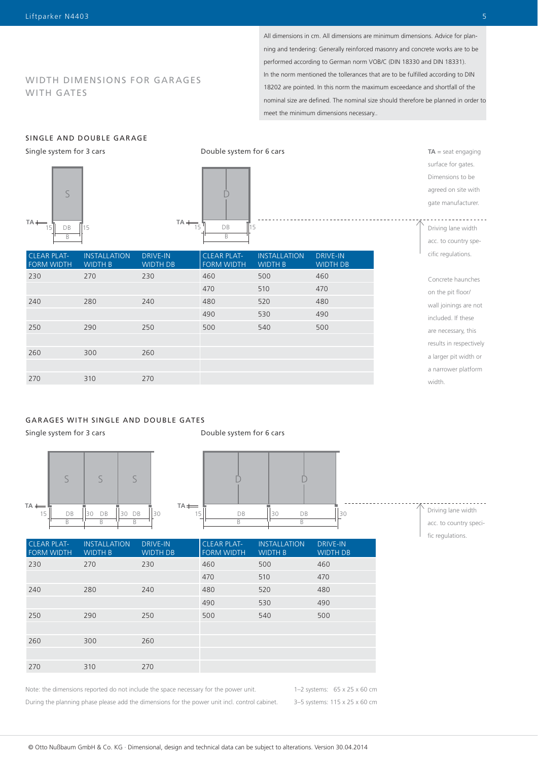#### WIDTH DIMENSIONS FOR GARAGES WITH GATES

All dimensions in cm. All dimensions are minimum dimensions. Advice for planning and tendering: Generally reinforced masonry and concrete works are to be performed according to German norm VOB/C (DIN 18330 and DIN 18331). In the norm mentioned the tollerances that are to be fulfilled according to DIN 18202 are pointed. In this norm the maximum exceedance and shortfall of the nominal size are defined. The nominal size should therefore be planned in order to meet the minimum dimensions necessary..

#### SINGLE AND DOUBLE GARAGE

Single system for 3 cars





| <b>CLEAR PLAT-</b><br><b>FORM WIDTH</b> | <b>INSTALLATION</b><br><b>WIDTH B</b> | <b>DRIVE-IN</b><br><b>WIDTH DB</b> | <b>CLEAR PLAT-</b><br><b>FORM WIDTH</b> | <b>INSTALLATION</b><br><b>WIDTH B</b> | <b>DRIVE-IN</b><br><b>WIDTH DB</b> |
|-----------------------------------------|---------------------------------------|------------------------------------|-----------------------------------------|---------------------------------------|------------------------------------|
| 230                                     | 270                                   | 230                                | 460                                     | 500                                   | 460                                |
|                                         |                                       |                                    | 470                                     | 510                                   | 470                                |
| 240                                     | 280                                   | 240                                | 480                                     | 520                                   | 480                                |
|                                         |                                       |                                    | 490                                     | 530                                   | 490                                |
| 250                                     | 290                                   | 250                                | 500                                     | 540                                   | 500                                |
|                                         |                                       |                                    |                                         |                                       |                                    |
| 260                                     | 300                                   | 260                                |                                         |                                       |                                    |
|                                         |                                       |                                    |                                         |                                       |                                    |
| 270                                     | 310                                   | 270                                |                                         |                                       |                                    |

#### GARAGES WITH SINGLE AND DOUBLE GATES

Single system for 3 cars





| Driving lane width     |
|------------------------|
| acc. to country speci- |
| fic regulations.       |

| <b>CLEAR PLAT-</b><br><b>FORM WIDTH</b> | <b>INSTALLATION</b><br><b>WIDTH B</b> | <b>DRIVE-IN</b><br><b>WIDTH DB</b> | <b>CLEAR PLAT-</b><br><b>FORM WIDTH</b> | <b>INSTALLATION</b><br><b>WIDTH B</b> | <b>DRIVE-IN</b><br><b>WIDTH DB</b> |
|-----------------------------------------|---------------------------------------|------------------------------------|-----------------------------------------|---------------------------------------|------------------------------------|
| 230                                     | 270                                   | 230                                | 460                                     | 500                                   | 460                                |
|                                         |                                       |                                    | 470                                     | 510                                   | 470                                |
| 240                                     | 280                                   | 240                                | 480                                     | 520                                   | 480                                |
|                                         |                                       |                                    | 490                                     | 530                                   | 490                                |
| 250                                     | 290                                   | 250                                | 500                                     | 540                                   | 500                                |
|                                         |                                       |                                    |                                         |                                       |                                    |
| 260                                     | 300                                   | 260                                |                                         |                                       |                                    |
|                                         |                                       |                                    |                                         |                                       |                                    |
| 270                                     | 310                                   | 270                                |                                         |                                       |                                    |

Note: the dimensions reported do not include the space necessary for the power unit. During the planning phase please add the dimensions for the power unit incl. control cabinet. 1–2 systems: 65 x 25 x 60 cm 3–5 systems: 115 x 25 x 60 cm **TA** = seat engaging surface for gates. Dimensions to be agreed on site with gate manufacturer.

Driving lane width acc. to country specific regulations.

Concrete haunches on the pit floor/ wall joinings are not included. If these are necessary, this results in respectively a larger pit width or a narrower platform

width.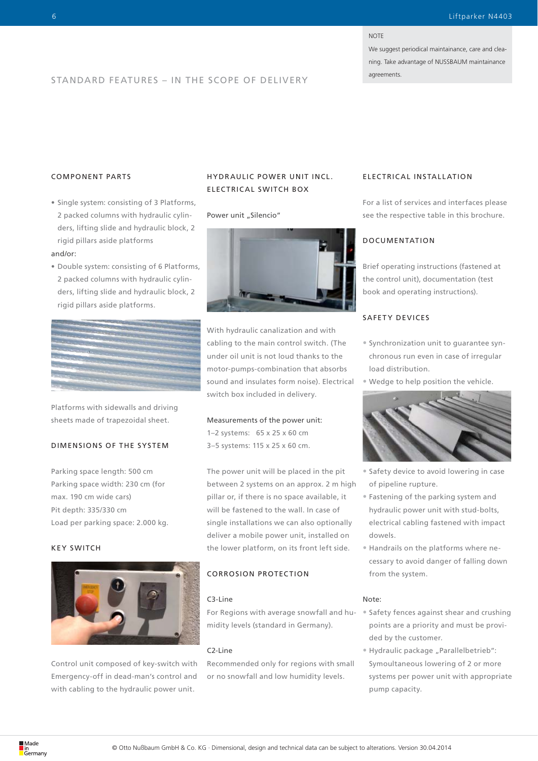#### **NOTE**

We suggest periodical maintainance, care and cleaning. Take advantage of NUSSBAUM maintainance

### agreements. STANDARD FEATURES – IN THE SCOPE OF DELIVERY

#### COMPONENT PARTS

- Single system: consisting of 3 Platforms, 2 packed columns with hydraulic cylinders, lifting slide and hydraulic block, 2 rigid pillars aside platforms and/or:
- Double system: consisting of 6 Platforms, 2 packed columns with hydraulic cylinders, lifting slide and hydraulic block, 2 rigid pillars aside platforms.



Platforms with sidewalls and driving sheets made of trapezoidal sheet.

#### DIMENSIONS OF THE SYSTEM

Parking space length: 500 cm Parking space width: 230 cm (for max. 190 cm wide cars) Pit depth: 335/330 cm Load per parking space: 2.000 kg.

#### KEY SWITCH



Control unit composed of key-switch with Emergency-off in dead-man's control and with cabling to the hydraulic power unit.

#### HYDR AULIC POWER UNIT INCL. ELECTRICAL SWITCH BOX

#### Power unit "Silencio"



With hydraulic canalization and with cabling to the main control switch. (The under oil unit is not loud thanks to the motor-pumps-combination that absorbs sound and insulates form noise). Electrical switch box included in delivery.

#### Measurements of the power unit:

1–2 systems: 65 x 25 x 60 cm 3–5 systems: 115 x 25 x 60 cm.

The power unit will be placed in the pit between 2 systems on an approx. 2 m high pillar or, if there is no space available, it will be fastened to the wall. In case of single installations we can also optionally deliver a mobile power unit, installed on the lower platform, on its front left side.

#### CORROSION PROTECTION

#### C3-Line

For Regions with average snowfall and humidity levels (standard in Germany).

#### C2-Line

Recommended only for regions with small or no snowfall and low humidity levels.

#### ELECTRICAL INSTALLATION

For a list of services and interfaces please see the respective table in this brochure.

#### DOCUMENTATION

Brief operating instructions (fastened at the control unit), documentation (test book and operating instructions).

#### SAFETY DEVICES

- Synchronization unit to guarantee synchronous run even in case of irregular load distribution.
- Wedge to help position the vehicle.



- Safety device to avoid lowering in case of pipeline rupture.
- Fastening of the parking system and hydraulic power unit with stud-bolts, electrical cabling fastened with impact dowels.
- Handrails on the platforms where necessary to avoid danger of falling down from the system.

#### Note:

- Safety fences against shear and crushing points are a priority and must be provided by the customer.
- Hydraulic package "Parallelbetrieb": Symoultaneous lowering of 2 or more systems per power unit with appropriate pump capacity.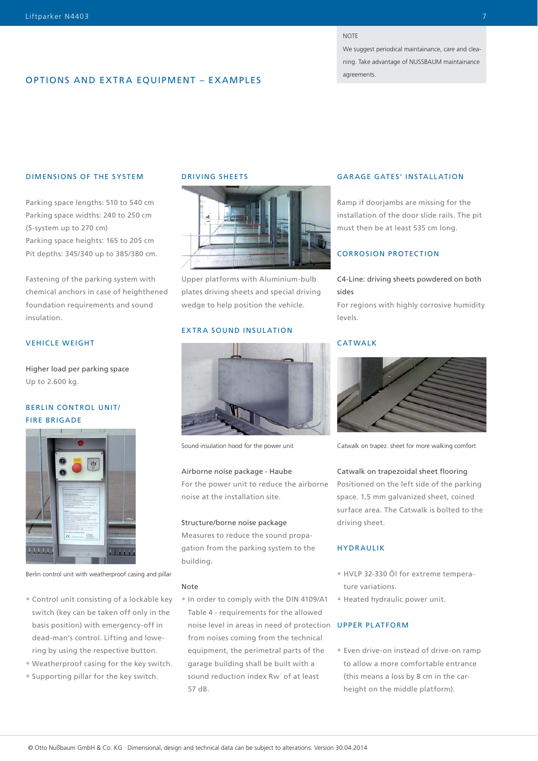#### **NOTE**

We suggest periodical maintainance, care and cleaning. Take advantage of NUSSBAUM maintainance agreements.

#### OPTIONS AND EXTRA EQUIPMENT – EXAMPLES

#### DIMENSIONS OF THE SYSTEM

Parking space lengths: 510 to 540 cm Parking space widths: 240 to 250 cm (S-system up to 270 cm) Parking space heights: 165 to 205 cm Pit depths: 345/340 up to 385/380 cm.

Fastening of the parking system with chemical anchors in case of heighthened foundation requirements and sound insulation.

#### VEHICLE WEIGHT

Higher load per parking space Up to 2.600 kg.

#### BERLIN CONTROL UNIT/ FIRE BRIGADE



Berlin control unit with weatherproof casing and pillar

- Control unit consisting of a lockable key switch (key can be taken off only in the basis position) with emergency-off in dead-man's control. Lifting and lowering by using the respective button.
- Weatherproof casing for the key switch.
- Supporting pillar for the key switch.

#### DRIVING SHEETS



Upper platforms with Aluminium-bulb plates driving sheets and special driving wedge to help position the vehicle.

#### EXTRA SOUND INSULATION



Sound insulation hood for the power unit

#### Airborne noise package - Haube

For the power unit to reduce the airborne noise at the installation site.

#### Structure/borne noise package

Measures to reduce the sound propagation from the parking system to the building.

#### Note

• In order to comply with the DIN 4109/A1 Table 4 - requirements for the allowed noise level in areas in need of protection UPPER PLATFORM from noises coming from the technical equipment, the perimetral parts of the garage building shall be built with a sound reduction index Rw´ of at least 57 dB.

#### GARAGE GATES' INSTALLATION

Ramp if doorjambs are missing for the installation of the door slide rails. The pit must then be at least 535 cm long.

#### CORROSION PROTECTION

#### C4-Line: driving sheets powdered on both sides

For regions with highly corrosive humidity levels.

#### CATWALK



Catwalk on trapez. sheet for more walking comfort

#### Catwalk on trapezoidal sheet flooring

Positioned on the left side of the parking space. 1,5 mm galvanized sheet, coined surface area. The Catwalk is bolted to the driving sheet.

#### HYDRAULIK

- HVLP 32-330 Öl for extreme temperature variations.
- Heated hydraulic power unit.

• Even drive-on instead of drive-on ramp to allow a more comfortable entrance (this means a loss by 8 cm in the carheight on the middle platform).